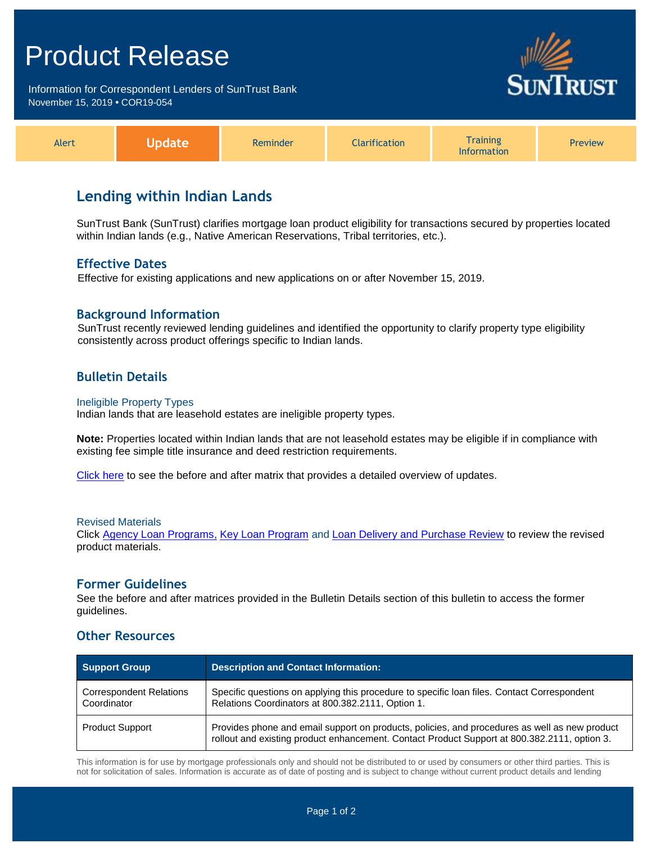# Product Release

Information for Correspondent Lenders of SunTrust Bank November 15, 2019 **•** COR19-054



| <b>Alert</b> | <u>Indate</u> | Reminder | <b>Clarification</b> | <b>Training</b><br><b>Information</b> | <b>Preview</b> |
|--------------|---------------|----------|----------------------|---------------------------------------|----------------|
|--------------|---------------|----------|----------------------|---------------------------------------|----------------|

# **Lending within Indian Lands**

SunTrust Bank (SunTrust) clarifies mortgage loan product eligibility for transactions secured by properties located within Indian lands (e.g., Native American Reservations, Tribal territories, etc.).

## **Effective Dates**

Effective for existing applications and new applications on or after November 15, 2019.

# **Background Information**

SunTrust recently reviewed lending guidelines and identified the opportunity to clarify property type eligibility consistently across product offerings specific to Indian lands.

# **Bulletin Details**

#### Ineligible Property Types

Indian lands that are leasehold estates are ineligible property types.

**Note:** Properties located within Indian lands that are not leasehold estates may be eligible if in compliance with existing fee simple title insurance and deed restriction requirements.

[Click here](http://www.truistsellerguide.com/manual/cor/products/Cr19-054BA.pdf) to see the before and after matrix that provides a detailed overview of updates.

#### Revised Materials

Click [Agency Loan Programs,](https://www.truistsellerguide.com/Manual/cor/products/CAgency.pdf) [Key Loan Program](https://www.truistsellerguide.com/Manual/cor/products/CKey.pdf) and [Loan Delivery and Purchase Review](https://www.truistsellerguide.com/Manual/cor/general/1.08LoanDel.pdf) to review the revised product materials.

### **Former Guidelines**

See the before and after matrices provided in the Bulletin Details section of this bulletin to access the former guidelines.

### **Other Resources**

| Support Group                                 | <b>Description and Contact Information:</b>                                                                                                                                                   |  |
|-----------------------------------------------|-----------------------------------------------------------------------------------------------------------------------------------------------------------------------------------------------|--|
| <b>Correspondent Relations</b><br>Coordinator | Specific questions on applying this procedure to specific loan files. Contact Correspondent<br>Relations Coordinators at 800.382.2111, Option 1.                                              |  |
| <b>Product Support</b>                        | Provides phone and email support on products, policies, and procedures as well as new product<br>rollout and existing product enhancement. Contact Product Support at 800.382.2111, option 3. |  |

This information is for use by mortgage professionals only and should not be distributed to or used by consumers or other third parties. This is not for solicitation of sales. Information is accurate as of date of posting and is subject to change without current product details and lending